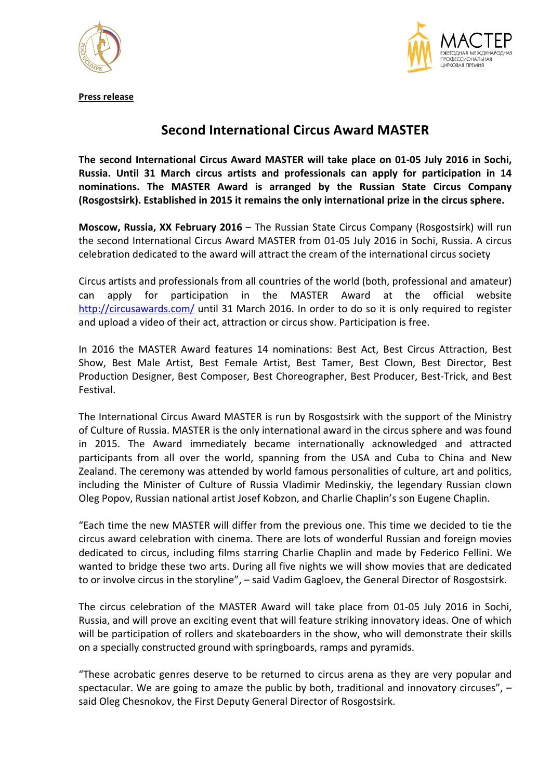



**Press release**

## **Second International Circus Award MASTER**

The second International Circus Award MASTER will take place on 01-05 July 2016 in Sochi. **Russia. Until 31 March circus artists and professionals can apply for participation in 14**  nominations. The MASTER Award is arranged by the Russian State Circus Company **(Rosgostsirk).** Established in 2015 it remains the only international prize in the circus sphere.

**Moscow, Russia, XX February 2016** – The Russian State Circus Company (Rosgostsirk) will run the second International Circus Award MASTER from 01-05 July 2016 in Sochi, Russia. A circus celebration dedicated to the award will attract the cream of the international circus society

Circus artists and professionals from all countries of the world (both, professional and amateur) can apply for participation in the MASTER Award at the official website http://circusawards.com/ until 31 March 2016. In order to do so it is only required to register and upload a video of their act, attraction or circus show. Participation is free.

In 2016 the MASTER Award features 14 nominations: Best Act, Best Circus Attraction, Best Show, Best Male Artist, Best Female Artist, Best Tamer, Best Clown, Best Director, Best Production Designer, Best Composer, Best Choreographer, Best Producer, Best-Trick, and Best Festival.

The International Circus Award MASTER is run by Rosgostsirk with the support of the Ministry of Culture of Russia. MASTER is the only international award in the circus sphere and was found in 2015. The Award immediately became internationally acknowledged and attracted participants from all over the world, spanning from the USA and Cuba to China and New Zealand. The ceremony was attended by world famous personalities of culture, art and politics, including the Minister of Culture of Russia Vladimir Medinskiy, the legendary Russian clown Oleg Popov, Russian national artist Josef Kobzon, and Charlie Chaplin's son Eugene Chaplin.

"Each time the new MASTER will differ from the previous one. This time we decided to tie the circus award celebration with cinema. There are lots of wonderful Russian and foreign movies dedicated to circus, including films starring Charlie Chaplin and made by Federico Fellini. We wanted to bridge these two arts. During all five nights we will show movies that are dedicated to or involve circus in the storyline",  $-$  said Vadim Gagloev, the General Director of Rosgostsirk.

The circus celebration of the MASTER Award will take place from 01-05 July 2016 in Sochi, Russia, and will prove an exciting event that will feature striking innovatory ideas. One of which will be participation of rollers and skateboarders in the show, who will demonstrate their skills on a specially constructed ground with springboards, ramps and pyramids.

"These acrobatic genres deserve to be returned to circus arena as they are very popular and spectacular. We are going to amaze the public by both, traditional and innovatory circuses",  $$ said Oleg Chesnokov, the First Deputy General Director of Rosgostsirk.